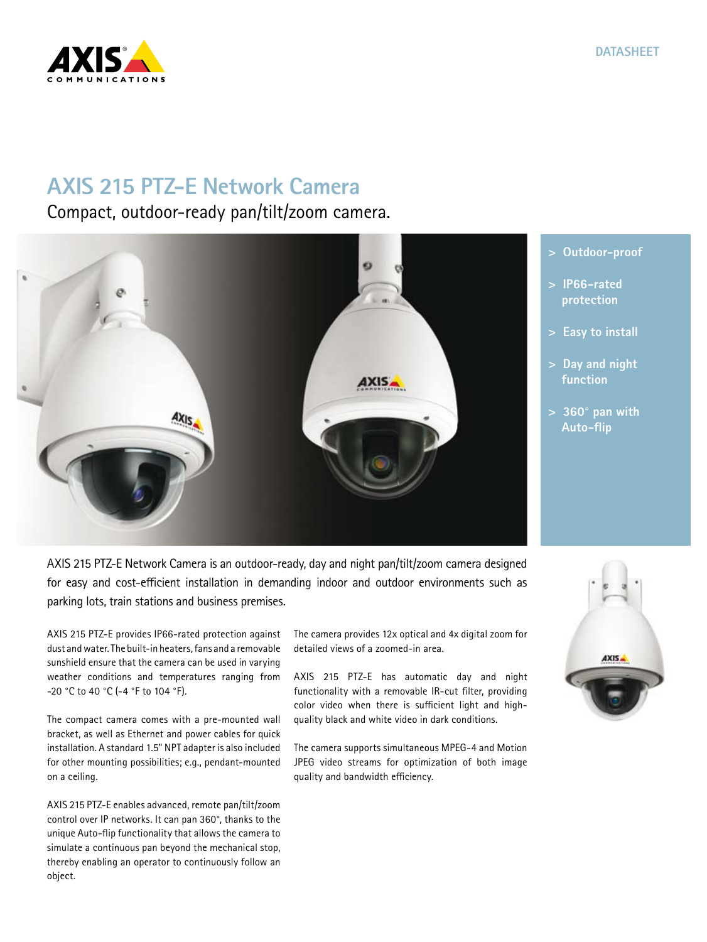

## **AXIS 215 PTZ-E Network Camera**

Compact, outdoor-ready pan/tilt/zoom camera.



**> Outdoor-proof**

- **> IP66-rated**
- **> Easy to install**
- **> Day and night**
- **> 360° pan with**

AXIS 215 PTZ-E Network Camera is an outdoor-ready, day and night pan/tilt/zoom camera designed for easy and cost-efficient installation in demanding indoor and outdoor environments such as parking lots, train stations and business premises.

AXIS 215 PTZ-E provides IP66-rated protection against dust and water. The built-in heaters, fans and a removable sunshield ensure that the camera can be used in varying weather conditions and temperatures ranging from -20 °C to 40 °C (-4 °F to 104 °F).

The compact camera comes with a pre-mounted wall bracket, as well as Ethernet and power cables for quick installation. A standard 1.5" NPT adapter is also included for other mounting possibilities; e.g., pendant-mounted on a ceiling.

AXIS 215 PTZ-E enables advanced, remote pan/tilt/zoom control over IP networks. It can pan 360°, thanks to the unique Auto-flip functionality that allows the camera to simulate a continuous pan beyond the mechanical stop, thereby enabling an operator to continuously follow an object.

The camera provides 12x optical and 4x digital zoom for detailed views of a zoomed-in area.

AXIS 215 PTZ-E has automatic day and night functionality with a removable IR-cut filter, providing color video when there is sufficient light and highquality black and white video in dark conditions.

The camera supports simultaneous MPEG-4 and Motion JPEG video streams for optimization of both image quality and bandwidth efficiency.